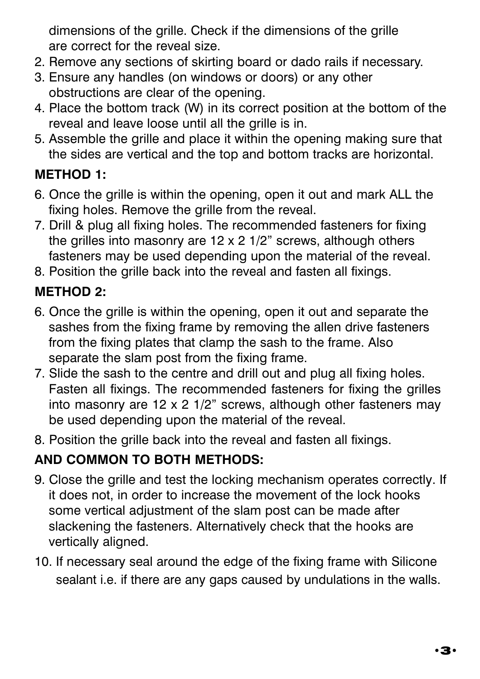dimensions of the grille. Check if the dimensions of the grille are correct for the reveal size.

- 2. Remove any sections of skirting board or dado rails if necessary.
- 3. Ensure any handles (on windows or doors) or any other obstructions are clear of the opening.
- 4. Place the bottom track (W) in its correct position at the bottom of the reveal and leave loose until all the grille is in.
- 5. Assemble the grille and place it within the opening making sure that the sides are vertical and the top and bottom tracks are horizontal.

### **METHOD 1:**

- 6. Once the grille is within the opening, open it out and mark ALL the fixing holes. Remove the grille from the reveal.
- 7. Drill & plug all fixing holes. The recommended fasteners for fixing the grilles into masonry are 12 x 2 1/2" screws, although others fasteners may be used depending upon the material of the reveal.
- 8. Position the grille back into the reveal and fasten all fixings.

#### **METHOD 2:**

- 6. Once the grille is within the opening, open it out and separate the sashes from the fixing frame by removing the allen drive fasteners from the fixing plates that clamp the sash to the frame. Also separate the slam post from the fixing frame.
- 7. Slide the sash to the centre and drill out and plug all fixing holes. Fasten all fixings. The recommended fasteners for fixing the grilles into masonry are 12 x 2 1/2" screws, although other fasteners may be used depending upon the material of the reveal.
- 8. Position the grille back into the reveal and fasten all fixings.

### **AND COMMON TO BOTH METHODS:**

- 9. Close the grille and test the locking mechanism operates correctly. If it does not, in order to increase the movement of the lock hooks some vertical adjustment of the slam post can be made after slackening the fasteners. Alternatively check that the hooks are vertically aligned.
- 10. If necessary seal around the edge of the fixing frame with Silicone sealant i.e. if there are any gaps caused by undulations in the walls.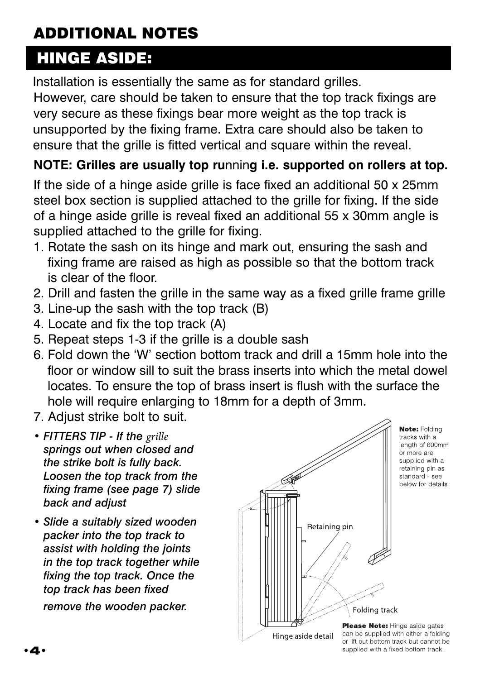# ADDITIONAL NOTES

## HINGE ASIDE:

Installation is essentially the same as for standard grilles.

However, care should be taken to ensure that the top track fixings are very secure as these fixings bear more weight as the top track is unsupported by the fixing frame. Extra care should also be taken to ensure that the grille is fitted vertical and square within the reveal.

#### **NOTE: Grilles are usually top ru**nnin**g i.e. supported on rollers at top.**

If the side of a hinge aside grille is face fixed an additional 50 x 25mm steel box section is supplied attached to the grille for fixing. If the side of a hinge aside grille is reveal fixed an additional 55 x 30mm angle is supplied attached to the grille for fixing.

- 1. Rotate the sash on its hinge and mark out, ensuring the sash and fixing frame are raised as high as possible so that the bottom track is clear of the floor.
- 2. Drill and fasten the grille in the same way as a fixed grille frame grille
- 3. Line-up the sash with the top track (B)
- 4. Locate and fix the top track (A)
- 5. Repeat steps 1-3 if the grille is a double sash
- 6. Fold down the 'W' section bottom track and drill a 15mm hole into the floor or window sill to suit the brass inserts into which the metal dowel locates. To ensure the top of brass insert is flush with the surface the hole will require enlarging to 18mm for a depth of 3mm.
- 7. Adjust strike bolt to suit.
- *• FITTERS TIP If the grille springs out when closed and the strike bolt is fully back. Loosen the top track from the fixing frame (see page 7) slide back and adjust*
- *Slide a suitably sized wooden packer into the top track to assist with holding the joints in the top track together while fixing the top track. Once the top track has been fixed remove the wooden packer.*



or lift out bottom track but cannot be supplied with a fixed bottom track.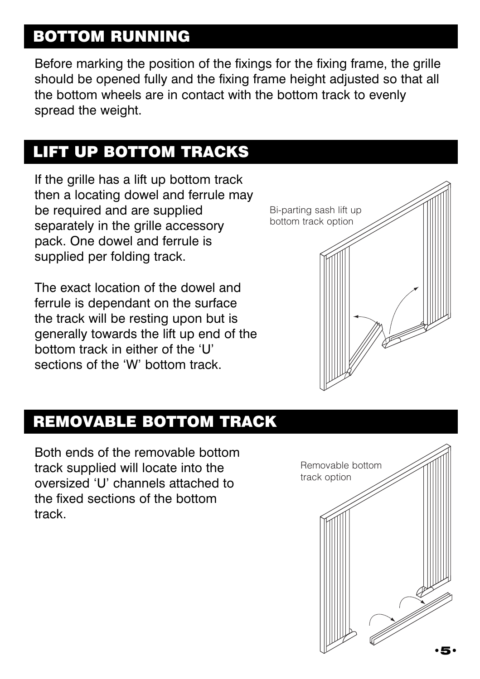## BOTTOM RUNNING

Before marking the position of the fixings for the fixing frame, the grille should be opened fully and the fixing frame height adjusted so that all the bottom wheels are in contact with the bottom track to evenly spread the weight.

## LIFT UP BOTTOM TRACKS

If the grille has a lift up bottom track then a locating dowel and ferrule may be required and are supplied separately in the grille accessory pack. One dowel and ferrule is supplied per folding track.

The exact location of the dowel and ferrule is dependant on the surface the track will be resting upon but is generally towards the lift up end of the bottom track in either of the 'U' sections of the 'W' bottom track.



## REMOVABLE BOTTOM TRACK

Both ends of the removable bottom track supplied will locate into the oversized 'U' channels attached to the fixed sections of the bottom track.

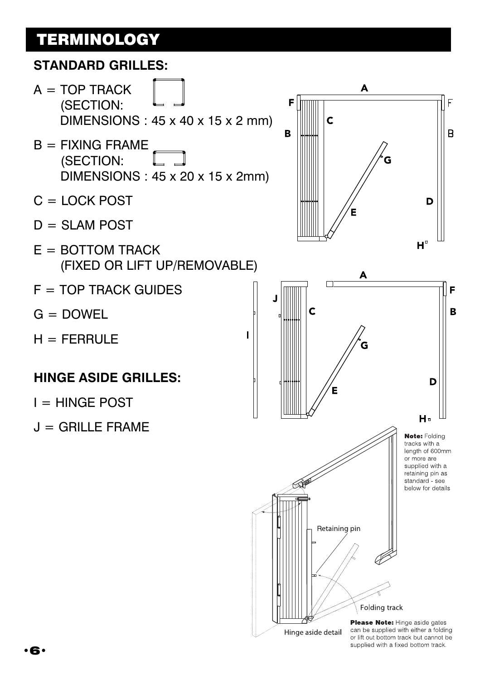## **TERMINOLOGY**

#### **STANDARD GRILLES:**

- $A = TOP TRACK$ (SECTION: DIMENSIONS : 45 x 40 x 15 x 2 mm)
- $B = FIXING FRAMF$ (SECTION: DIMENSIONS : 45 x 20 x 15 x 2mm)
- $C =$  LOCK POST
- $D = SLAM$  POST
- $E =$  BOTTOM TRACK (FIXED OR LIFT UP/REMOVABLE)
- $F = TOP$  TRACK GUIDES
- $G =$  DOWEL
- $H = FERRULE$

#### **HINGE ASIDE GRILLES:**

- $I = HINGE POST$
- $J = GRILLE$  FRAME



 $\blacksquare$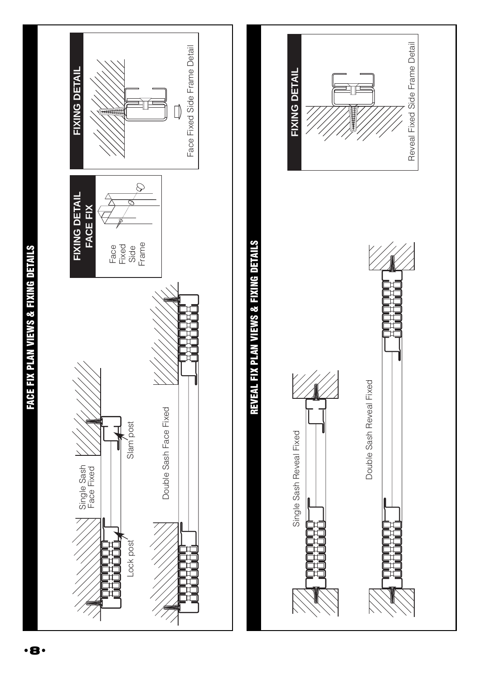

**FACE FIX PLAN VIEWS & FIXING DETAILS** FACE FIX PLAN VIEWS & FIXING DETAILS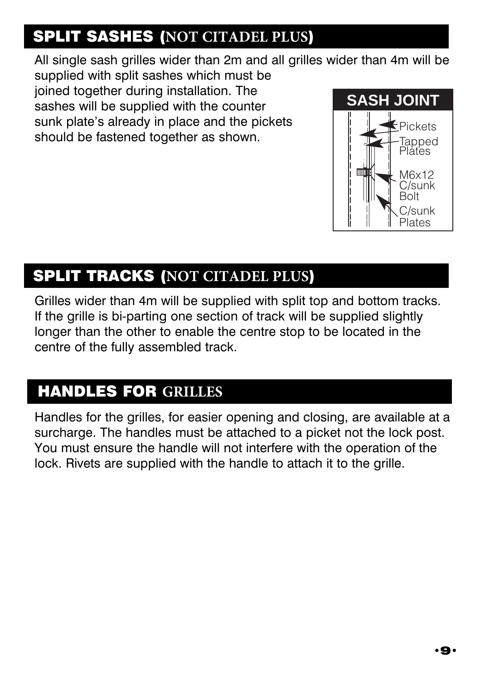## SPLIT SASHES (**NOT CITADEL PLUS**)

All single sash grilles wider than 2m and all grilles wider than 4m will be

supplied with split sashes which must be joined together during installation. The sashes will be supplied with the counter sunk plate's already in place and the pickets should be fastened together as shown.



## SPLIT TRACKS (**NOT CITADEL PLUS**)

Grilles wider than 4m will be supplied with split top and bottom tracks. If the grille is bi-parting one section of track will be supplied slightly longer than the other to enable the centre stop to be located in the centre of the fully assembled track.

## HANDLES FOR **GRILLES**

Handles for the grilles, for easier opening and closing, are available at a surcharge. The handles must be attached to a picket not the lock post. You must ensure the handle will not interfere with the operation of the lock. Rivets are supplied with the handle to attach it to the grille.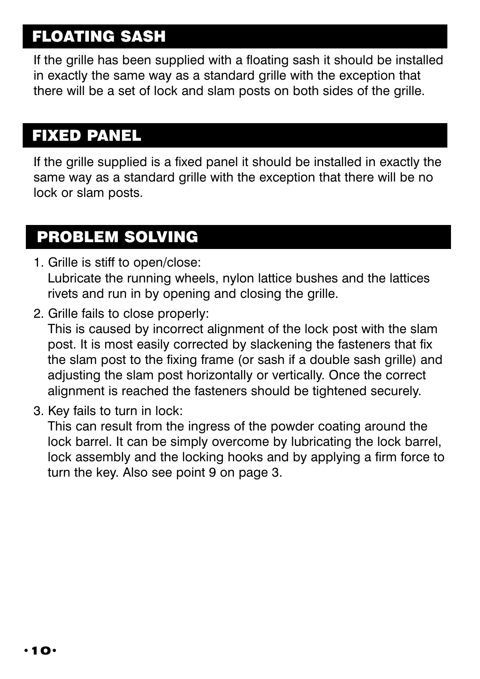## FLOATING SASH

If the grille has been supplied with a floating sash it should be installed in exactly the same way as a standard grille with the exception that there will be a set of lock and slam posts on both sides of the grille.

## FIXED PANEL

If the grille supplied is a fixed panel it should be installed in exactly the same way as a standard grille with the exception that there will be no lock or slam posts.

## PROBLEM SOLVING

- 1. Grille is stiff to open/close: Lubricate the running wheels, nylon lattice bushes and the lattices rivets and run in by opening and closing the grille.
- 2. Grille fails to close properly:

This is caused by incorrect alignment of the lock post with the slam post. It is most easily corrected by slackening the fasteners that fix the slam post to the fixing frame (or sash if a double sash grille) and adjusting the slam post horizontally or vertically. Once the correct alignment is reached the fasteners should be tightened securely.

3. Key fails to turn in lock:

This can result from the ingress of the powder coating around the lock barrel. It can be simply overcome by lubricating the lock barrel, lock assembly and the locking hooks and by applying a firm force to turn the key. Also see point 9 on page 3.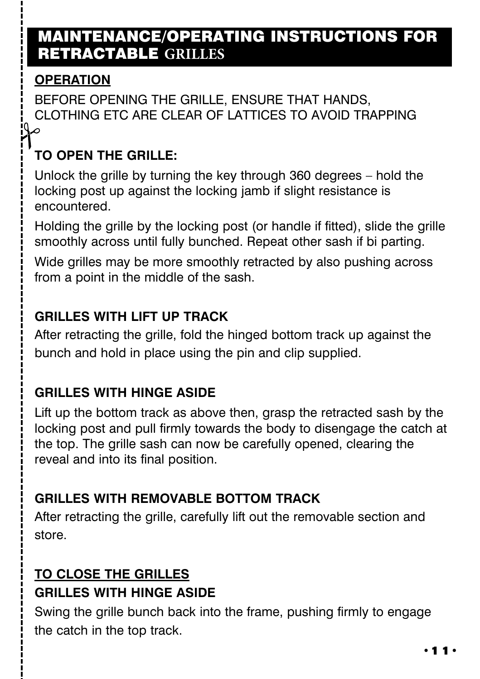### MAINTENANCE/OPERATING INSTRUCTIONS FOR RETRACTABLE **GRILLES**

### **OPERATION**

BEFORE OPENING THE GRILLE, ENSURE THAT HANDS, CLOTHING ETC ARE CLEAR OF LATTICES TO AVOID TRAPPING

### **TO OPEN THE GRILLE:**

Unlock the grille by turning the key through 360 degrees – hold the locking post up against the locking jamb if slight resistance is encountered.

Holding the grille by the locking post (or handle if fitted), slide the grille smoothly across until fully bunched. Repeat other sash if bi parting.

Wide grilles may be more smoothly retracted by also pushing across from a point in the middle of the sash.

#### **GRILLES WITH LIFT UP TRACK**

After retracting the grille, fold the hinged bottom track up against the bunch and hold in place using the pin and clip supplied.

### **GRILLES WITH HINGE ASIDE**

Lift up the bottom track as above then, grasp the retracted sash by the locking post and pull firmly towards the body to disengage the catch at the top. The grille sash can now be carefully opened, clearing the reveal and into its final position.

### **GRILLES WITH REMOVABLE BOTTOM TRACK**

After retracting the grille, carefully lift out the removable section and store.

### **TO CLOSE THE GRILLES GRILLES WITH HINGE ASIDE**

Swing the grille bunch back into the frame, pushing firmly to engage the catch in the top track.